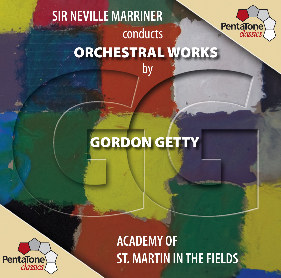

# conducts by ORCHESTRAL WORKS

**SIR NEVILLE MARRINER** 

# GORDON GETTY

**ACADEMY OF ST. MARTIN IN THE FIELDS**

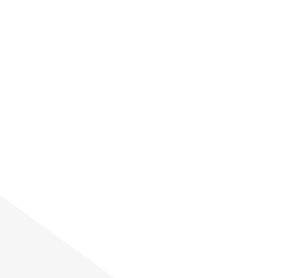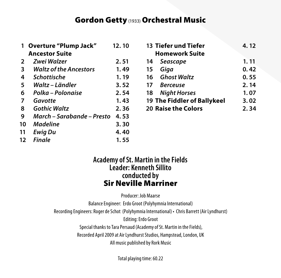## Gordon Getty (1933) Orchestral Music

|                | 1 Overture "Plump Jack"       | 12.10 |
|----------------|-------------------------------|-------|
|                | Ancestor Suite                |       |
| $\overline{2}$ | Zwei Walzer                   | 2.51  |
| 3              | <b>Waltz of the Ancestors</b> | 1.49  |
| 4              | Schottische                   | 1.19  |
| 5              | Waltz – Ländler               | 3.52  |
| 6              | Polka – Polonaise             | 2.54  |
| 7              | Gavotte                       | 1.43  |
| 8              | Gothic Waltz                  | 2.36  |
| 9              | March – Sarabande – Presto    | 4.53  |
| 10             | <b>Madeline</b>               | 3.30  |
| 11             | Ewig Du                       | 4.40  |
| 12             | Finale                        | 1.55  |

| <b>13 Tiefer und Tiefer</b><br><b>Homework Suite</b> | 4.12 |
|------------------------------------------------------|------|
| 14 Seascape                                          | 1.11 |
| Giga<br>15                                           | 0.42 |
| 16 Ghost Waltz                                       | 0.55 |
| 17 Berceuse                                          | 2.14 |
| <b>Night Horses</b><br>18                            | 1.07 |
| 19 The Fiddler of Ballykeel                          | 3.02 |
| <b>20 Raise the Colors</b>                           | 2.34 |

### **Academy of St. Martin in the Fields Leader: Kenneth Sillito conducted by** Sir Neville Marriner

Producer: Job Maarse

Balance Engineer: Erdo Groot (Polyhymnia International)

Recording Engineers: Roger de Schot (Polyhymnia International) • Chris Barrett (Air Lyndhurst)

Editing: Erdo Groot

Special thanks to Tara Persaud (Academy of St. Martin in the Fields),

Recorded April 2009 at Air Lyndhurst Studios, Hampstead, London, UK

All music published by Rork Music

Total playing time: 60.22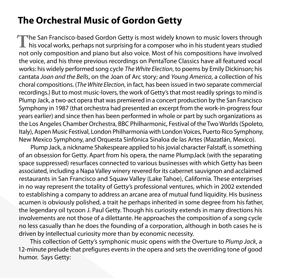## **The Orchestral Music of Gordon Getty**

The San Francisco-based Gordon Getty is most widely known to music lovers through his vocal works, perhaps not surprising for a composer who in his student years studied not only composition and piano but also voice. Most of his compositions have involved the voice, and his three previous recordings on PentaTone Classics have all featured vocal works: his widely performed song cycle *The White Election*, to poems by Emily Dickinson; his cantata *Joan and the Bells*, on the Joan of Arc story; and *Young America*, a collection of his choral compositions. (*The White Election*, in fact, has been issued in two separate commercial recordings.) But to most music-lovers, the work of Getty's that most readily springs to mind is Plump Jack, a two-act opera that was premiered in a concert production by the San Francisco Symphony in 1987 (that orchestra had presented an excerpt from the work-in-progress four years earlier) and since then has been performed in whole or part by such organizations as the Los Angeles Chamber Orchestra, BBC Philharmonic, Festival of the Two Worlds (Spoleto, Italy), Aspen Music Festival, London Philharmonia with London Voices, Puerto Rico Symphony, New Mexico Symphony, and Orquesta Sinfónica Sinaloa de las Artes (Mazatlán, Mexico).

Plump Jack, a nickname Shakespeare applied to his jovial character Falstaff, is something of an obsession for Getty. Apart from his opera, the name PlumpJack (with the separating space suppressed) resurfaces connected to various businesses with which Getty has been associated, including a Napa Valley winery revered for its cabernet sauvignon and acclaimed restaurants in San Francisco and Squaw Valley (Lake Tahoe), California. These enterprises in no way represent the totality of Getty's professional ventures, which in 2002 extended to establishing a company to address an arcane area of mutual fund liquidity. His business acumen is obviously polished, a trait he perhaps inherited in some degree from his father, the legendary oil tycoon J. Paul Getty. Though his curiosity extends in many directions his involvements are not those of a dilettante. He approaches the composition of a song cycle no less casually than he does the founding of a corporation, although in both cases he is driven by intellectual curiosity more than by economic necessity.

This collection of Getty's symphonic music opens with the Overture to *Plump Jack*, a 12-minute prelude that prefigures events in the opera and sets the overriding tone of good humor. Says Getty: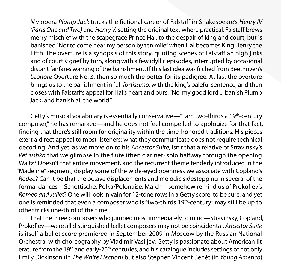My opera *Plump Jack* tracks the fictional career of Falstaff in Shakespeare's *Henry IV (Parts One and Two)* and *Henry V,* setting the original text where practical. Falstaff brews merry mischief with the scapegrace Prince Hal, to the despair of king and court, but is banished "Not to come near my person by ten mile" when Hal becomes King Henry the Fifth. The overture is a synopsis of this story, quoting scenes of Falstaffian high jinks and of courtly grief by turn, along with a few idyllic episodes, interrupted by occasional distant fanfares warning of the banishment. If this last idea was filched from Beethoven's *Leonore* Overture No. 3, then so much the better for its pedigree. At last the overture brings us to the banishment in full *fortissimo,* with the king's baleful sentence, and then closes with Falstaff's appeal for Hal's heart and ours: "No, my good lord ... banish Plump Jack, and banish all the world."

Getty's musical vocabulary is essentially conservative—"I am two-thirds a 19th-century composer," he has remarked—and he does not feel compelled to apologize for that fact, finding that there's still room for originality within the time-honored traditions. His pieces exert a direct appeal to most listeners; what they communicate does not require technical decoding. And yet, as we move on to his *Ancestor Suite*, isn't that a relative of Stravinsky's *Petrushka* that we glimpse in the flute (then clarinet) solo halfway through the opening Waltz? Doesn't that entire movement, and the recurrent theme tenderly introduced in the "Madeline" segment, display some of the wide-eyed openness we associate with Copland's *Rodeo*? Can it be that the octave displacements and melodic sidestepping in several of the formal dances—Schottische, Polka/Polonaise, March—somehow remind us of Prokofiev's *Romeo and Juliet*? One will look in vain for 12-tone rows in a Getty score, to be sure, and yet one is reminded that even a composer who is "two-thirds 19th-century" may still be up to other tricks one-third of the time.

That the three composers who jumped most immediately to mind—Stravinsky, Copland, Prokofiev—were all distinguished ballet composers may not be coincidental. *Ancestor Suite* is itself a ballet score premiered in September 2009 in Moscow by the Russian National Orchestra, with choreography by Vladimir Vasiljev. Getty is passionate about American literature from the 19<sup>th</sup> and early-20<sup>th</sup> centuries, and his catalogue includes settings of not only Emily Dickinson (in *The White Election*) but also Stephen Vincent Benét (in *Young America*)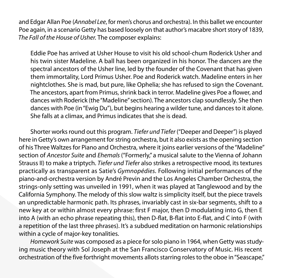and Edgar Allan Poe (*Annabel Lee*, for men's chorus and orchestra). In this ballet we encounter Poe again, in a scenario Getty has based loosely on that author's macabre short story of 1839, *The Fall of the House of Usher.* The composer explains:

Eddie Poe has arrived at Usher House to visit his old school-chum Roderick Usher and his twin sister Madeline. A ball has been organized in his honor. The dancers are the spectral ancestors of the Usher line, led by the founder of the Covenant that has given them immortality, Lord Primus Usher. Poe and Roderick watch. Madeline enters in her nightclothes. She is mad, but pure, like Ophelia; she has refused to sign the Covenant. The ancestors, apart from Primus, shrink back in terror. Madeline gives Poe a flower, and dances with Roderick (the "Madeline" section). The ancestors clap soundlessly. She then dances with Poe (in "Ewig Du"), but begins hearing a wilder tune, and dances to it alone. She falls at a climax, and Primus indicates that she is dead.

Shorter works round out this program. *Tiefer und Tiefer* ("Deeper and Deeper") is played here in Getty's own arrangement for string orchestra, but it also exists as the opening section of his Three Waltzes for Piano and Orchestra, where it joins earlier versions of the "Madeline" section of *Ancestor Suite* and *Ehemals* ("Formerly," a musical salute to the Vienna of Johann Strauss II) to make a triptych. *Tiefer und Tiefer* also strikes a retrospective mood, its textures practically as transparent as Satie's *Gymnopédies.* Following initial performances of the piano-and-orchestra version by André Previn and the Los Angeles Chamber Orchestra, the strings-only setting was unveiled in 1991, when it was played at Tanglewood and by the California Symphony. The melody of this slow waltz is simplicity itself, but the piece travels an unpredictable harmonic path. Its phrases, invariably cast in six-bar segments, shift to a new key at or within almost every phrase: first F major, then D modulating into G, then E into A (with an echo phrase repeating this), then D-flat, B-flat into E-flat, and C into F (with a repetition of the last three phrases). It's a subdued meditation on harmonic relationships within a cycle of major-key tonalities.

*Homework Suite* was composed as a piece for solo piano in 1964, when Getty was studying music theory with Sol Joseph at the San Francisco Conservatory of Music. His recent orchestration of the five forthright movements allots starring roles to the oboe in "Seascape,"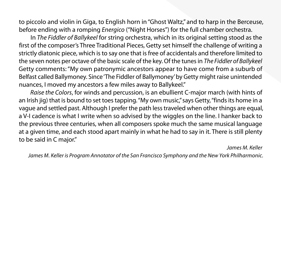to piccolo and violin in Giga, to English horn in "Ghost Waltz," and to harp in the Berceuse, before ending with a romping *Energico* ("Night Horses") for the full chamber orchestra.

In *The Fiddler of Ballykeel* for string orchestra, which in its original setting stood as the first of the composer's Three Traditional Pieces, Getty set himself the challenge of writing a strictly diatonic piece, which is to say one that is free of accidentals and therefore limited to the seven notes per octave of the basic scale of the key. Of the tunes in *The Fiddler of Ballykeel*  Getty comments: "My own patronymic ancestors appear to have come from a suburb of Belfast called Ballymoney. Since 'The Fiddler of Ballymoney' by Getty might raise unintended nuances, I moved my ancestors a few miles away to Ballykeel."

*Raise the Colors*, for winds and percussion, is an ebullient C-major march (with hints of an Irish jig) that is bound to set toes tapping. "My own music," says Getty, "finds its home in a vague and settled past. Although I prefer the path less traveled when other things are equal, a V-I cadence is what I write when so advised by the wiggles on the line. I hanker back to the previous three centuries, when all composers spoke much the same musical language at a given time, and each stood apart mainly in what he had to say in it. There is still plenty to be said in C major."

#### *James M. Keller*

*James M. Keller is Program Annotator of the San Francisco Symphony and the New York Philharmonic.*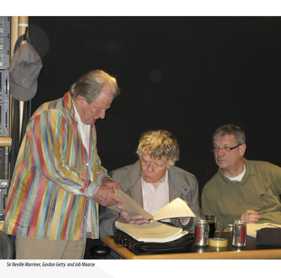

*Sir Neville Marriner, Gordon Getty and Job Maarse*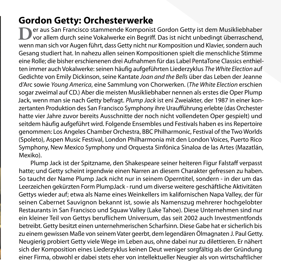**Gordon Getty: Orchesterwerke**<br>
Ther aus San Francisco stammende Komponist Gordon Getty ist dem Musikliebhaber **D**er aus San Francisco stammende Komponist Gordon Getty ist dem Musikliebhaber<br>vor allem durch seine Vokalwerke ein Begriff. Das ist nicht unbedingt überraschend, wenn man sich vor Augen führt, dass Getty nicht nur Komposition und Klavier, sondern auch Gesang studiert hat. In nahezu allen seinen Kompositionen spielt die menschliche Stimme eine Rolle; die bisher erschienenen drei Aufnahmen für das Label PentaTone Classics enthielten immer auch Vokalwerke: seinen häufig aufgeführten Liederzyklus *The White Election* auf Gedichte von Emily Dickinson, seine Kantate *Joan and the Bells* über das Leben der Jeanne d'Arc sowie *Young America*, eine Sammlung von Chorwerken. (*The White Election* erschien sogar zweimal auf CD.) Aber die meisten Musikliebhaber nennen als erstes die Oper Plump Jack, wenn man sie nach Getty befragt. *Plump Jack* ist eni Zweiakter, der 1987 in einer konzertanten Produktion des San Francisco Symphony ihre Uraufführung erlebte (das Orchester hatte vier Jahre zuvor bereits Ausschnitte der noch nicht vollendeten Oper gespielt) und seitdem häufig aufgeführt wird. Folgende Ensembles und Festivals haben es ins Repertoire genommen: Los Angeles Chamber Orchestra, BBC Philharmonic, Festival of the Two Worlds (Spoleto), Aspen Music Festival, London Philharmonia mit den London Voices, Puerto Rico Symphony, New Mexico Symphony und Orquesta Sinfónica Sinaloa de las Artes (Mazatlán, Mexiko).

Plump Jack ist der Spitzname, den Shakespeare seiner heiteren Figur Falstaff verpasst hatte; und Getty scheint irgendwie einen Narren an diesem Charakter gefressen zu haben. So taucht der Name Plump Jack nicht nur in seinem Operntitel, sondern - in der um das Leerzeichen gekürzten Form PlumpJack - rund um diverse weitere geschäftliche Aktivitäten Gettys wieder auf; etwa als Name eines Weinkellers im kalifornischen Napa Valley, der für seinen Cabernet Sauvignon bekannt ist, sowie als Namenszug mehrerer hochgelobter Restaurants in San Francisco und Squaw Valley (Lake Tahoe). Diese Unternehmen sind nur ein kleiner Teil von Gettys beruflichem Universum, das seit 2002 auch Investmentfonds betreibt. Getty besitzt einen unternehmerischen Scharfsinn. Diese Gabe hat er sicherlich bis zu einem gewissen Maße von seinem Vater geerbt, dem legendären Ölmagnaten J. Paul Getty. Neugierig probiert Getty viele Wege im Leben aus, ohne dabei nur zu dilettieren. Er nähert sich der Komposition eines Liederzyklus keinen Deut weniger sorgfältig als der Gründung einer Firma, obwohl er dabei stets eher von intellektueller Neugier als von wirtschaftlicher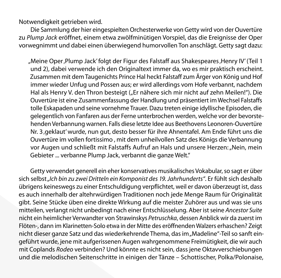Notwendigkeit getrieben wird.

Die Sammlung der hier eingespielten Orchesterwerke von Getty wird von der Ouvertüre zu *Plump Jack* eröffnet, einem etwa zwölfminütigen Vorspiel, das die Ereignisse der Oper vorwegnimmt und dabei einen überwiegend humorvollen Ton anschlägt. Getty sagt dazu:

"Meine Oper 'Plump Jack' folgt der Figur des Falstaff aus Shakespeares 'Henry IV' (Teil 1 und 2), dabei verwende ich den Originaltext immer da, wo es mir praktisch erscheint. Zusammen mit dem Taugenichts Prince Hal heckt Falstaff zum Ärger von König und Hof immer wieder Unfug und Possen aus; er wird allerdings vom Hofe verbannt, nachdem Hal als Henry V. den Thron besteigt ("Er nähere sich mir nicht auf zehn Meilen!"). Die Ouvertüre ist eine Zusammenfassung der Handlung und präsentiert im Wechsel Falstaffs tolle Eskapaden und seine vornehme Trauer. Dazu treten einige idyllische Episoden, die gelegentlich von Fanfaren aus der Ferne unterbrochen werden, welche vor der bevorstehenden Verbannung warnen. Falls diese letzte Idee aus Beethovens Leonoren-Ouvertüre Nr. 3, geklaut' wurde, nun gut, desto besser für ihre Ahnentafel. Am Ende führt uns die Ouvertüre im vollen fortissimo , mit dem unheilvollen Satz des Königs die Verbannung vor Augen und schließt mit Falstaffs Aufruf an Hals und unsere Herzen: "Nein, mein Gebieter ... verbanne Plump Jack, verbannt die ganze Welt."

Getty verwendet generell ein eher konservatives musikalisches Vokabular, so sagt er über sich selbst "*Ich bin zu zwei Dritteln ein Komponist des 19. Jahrhunderts"*. Er fühlt sich deshalb übrigens keineswegs zu einer Entschuldigung verpflichtet, weil er davon überzeugt ist, dass es auch innerhalb der altehrwürdigen Traditionen noch jede Menge Raum für Originalität gibt. Seine Stücke üben eine direkte Wirkung auf die meister Zuhörer aus und was sie uns mitteilen, verlangt nicht unbedingt nach einer Entschlüsselung. Aber ist seine *Ancestor Suite*  nicht ein heimlicher Verwandter von Strawinskys *Petruschka*, dessen Anblick wir da zuerst im Flöten-, dann im Klarinetten-Solo etwa in der Mitte des eröffnenden Walzers erhaschen? Zeigt nicht dieser ganze Satz und das wiederkehrende Thema, das im "Madeline"-Teil so sanft eingeführt wurde, jene mit aufgerissenen Augen wahrgenommene Freimütigkeit, die wir auch mit Coplands *Rodeo* verbinden? Und könnte es nicht sein, dass jene Oktavverschiebungen und die melodischen Seitenschritte in einigen der Tänze – Schottischer, Polka/Polonaise,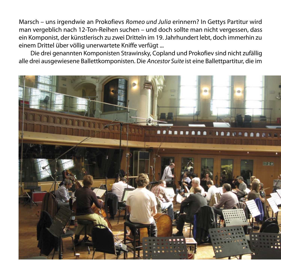Marsch – uns irgendwie an Prokofievs *Romeo und Julia* erinnern? In Gettys Partitur wird man vergeblich nach 12-Ton-Reihen suchen – und doch sollte man nicht vergessen, dass ein Komponist, der künstlerisch zu zwei Dritteln im 19. Jahrhundert lebt, doch immerhin zu einem Drittel über völlig unerwartete Kniffe verfügt ...

Die drei genannten Komponisten Strawinsky, Copland und Prokofiev sind nicht zufällig alle drei ausgewiesene Ballettkomponisten. Die *Ancestor Suite* ist eine Ballettpartitur, die im

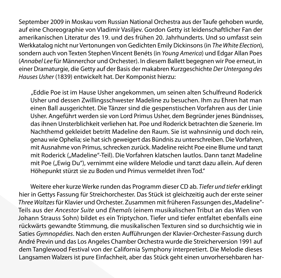September 2009 in Moskau vom Russian National Orchestra aus der Taufe gehoben wurde, auf eine Choreographie von Vladimir Vasiljev. Gordon Getty ist leidenschaftlicher Fan der amerikanischen Literatur des 19. und des frühen 20. Jahrhunderts. Und so umfasst sein Werkkatalog nicht nur Vertonungen von Gedichten Emily Dickinsons (in *The White Election*), sondern auch von Texten Stephen Vincent Benéts (in *Young America*) und Edgar Allan Poes (*Annabel Lee* für Männerchor und Orchester). In diesem Ballett begegnen wir Poe erneut, in einer Dramaturgie, die Getty auf der Basis der makabren Kurzgeschichte *Der Untergang des Hauses Usher* (1839) entwickelt hat. Der Komponist hierzu:

 "Eddie Poe ist im Hause Usher angekommen, um seinen alten Schulfreund Roderick Usher und dessen Zwillingsschwester Madeline zu besuchen. Ihm zu Ehren hat man einen Ball ausgerichtet. Die Tänzer sind die gespenstischen Vorfahren aus der Linie Usher. Angeführt werden sie von Lord Primus Usher, dem Begründer jenes Bündnisses, das ihnen Unsterblichkeit verliehen hat. Poe und Roderick betrachten die Szenerie. Im Nachthemd gekleidet betritt Madeline den Raum. Sie ist wahnsinnig und doch rein, genau wie Ophelia; sie hat sich geweigert das Bündnis zu unterschreiben. Die Vorfahren, mit Ausnahme von Primus, schrecken zurück. Madeline reicht Poe eine Blume und tanzt mit Roderick ("Madeline"-Teil). Die Vorfahren klatschen lautlos. Dann tanzt Madeline mit Poe ("Ewig Du"), vernimmt eine wildere Melodie und tanzt dazu allein. Auf deren Höhepunkt stürzt sie zu Boden und Primus vermeldet ihren Tod."

Weitere eher kurze Werke runden das Programm dieser CD ab. *Tiefer und tiefer* erklingt hier in Gettys Fassung für Streichorchester. Das Stück ist gleichzeitig auch der erste seiner *Three Waltzes* für Klavier und Orchester. Zusammen mit früheren Fassungen des "Madeline"- Teils aus der *Ancestor Suite* und *Ehemals* (einem musikalischen Tribut an das Wien von Johann Strauss Sohn) bildet es ein Triptychon. Tiefer und tiefer entfaltet ebenfalls eine rückwärts gewandte Stimmung, die musikalischen Texturen sind so durchsichtig wie in Saties *Gymnopédies*. Nach den ersten Aufführungen der Klavier-Orchester-Fassung durch André Previn und das Los Angeles Chamber Orchestra wurde die Streicherversion 1991 auf dem Tanglewood Festival von der California Symphony interpretiert. Die Melodie dieses Langsamen Walzers ist pure Einfachheit, aber das Stück geht einen unvorhersehbaren har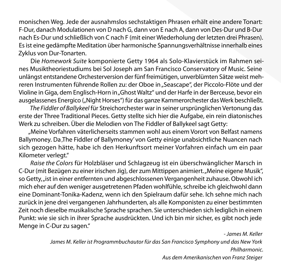monischen Weg. Jede der ausnahmslos sechstaktigen Phrasen erhält eine andere Tonart: F-Dur, danach Modulationen von D nach G, dann von E nach A, dann von Des-Dur und B-Dur nach Es-Dur und schließlich von C nach F (mit einer Wiederholung der letzten drei Phrasen). Es ist eine gedämpfte Meditation über harmonische Spannungsverhältnisse innerhalb eines Zyklus von Dur-Tonarten.

Die *Homework Suite* komponierte Getty 1964 als Solo-Klavierstück im Rahmen seines Musiktheoriestudiums bei Sol Joseph am San Francisco Conservatory of Music. Seine unlängst entstandene Orchesterversion der fünf freimütigen, unverblümten Sätze weist mehreren Instrumenten führende Rollen zu: der Oboe in "Seascape", der Piccolo-Flöte und der Violine in Giga, dem Englisch-Horn in "Ghost Waltz" und der Harfe in der Berceuse, bevor ein ausgelassenes Energico ("Night Horses") für das ganze Kammerorchester das Werk beschließt.

*The Fiddler of Ballykeel* für Streichorchester war in seiner ursprünglichen Vertonung das erste der Three Traditional Pieces. Getty stellte sich hier die Aufgabe, ein rein diatonisches Werk zu schreiben. Über die Melodien von The Fiddler of Ballykeel sagt Getty:

"Meine Vorfahren väterlicherseits stammen wohl aus einem Vorort von Belfast namens Ballymoney. Da 'The Fiddler of Ballymoney' von Getty einige unabsichtliche Nuancen nach sich gezogen hätte, habe ich den Herkunftsort meiner Vorfahren einfach um ein paar Kilometer verlegt."

*Raise the Colors* für Holzbläser und Schlagzeug ist ein überschwänglicher Marsch in C-Dur (mit Bezügen zu einer irischen Jig), der zum Mittippen animiert. "Meine eigene Musik", so Getty, "ist in einer entfernten und abgeschlossenen Vergangenheit zuhause. Obwohl ich mich eher auf den weniger ausgetretenen Pfaden wohlfühle, schreibe ich gleichwohl dann eine Dominant-Tonika-Kadenz, wenn ich den Spielraum dafür sehe. Ich sehne mich nach zurück in jene drei vergangenen Jahrhunderten, als alle Komponisten zu einer bestimmten Zeit noch dieselbe musikalische Sprache sprachen. Sie unterschieden sich lediglich in einem Punkt: wie sie sich in ihrer Sprache ausdrückten. Und ich bin mir sicher, es gibt noch jede Menge in C-Dur zu sagen."

> *- James M. Keller James M. Keller ist Programmbuchautor für das San Francisco Symphony und das New York Philharmonic. Aus dem Amerikanischen von Franz Steiger*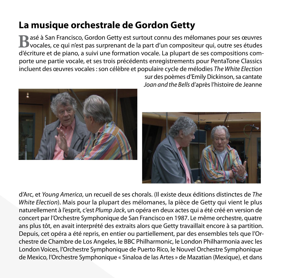# **La musique orchestrale de Gordon Getty**

**B**asé à San Francisco, Gordon Getty est surtout connu des mélomanes pour ses œuvres<br>Vocales, ce qui n'est pas surprenant de la part d'un compositeur qui, outre ses études d'écriture et de piano, a suivi une formation vocale. La plupart de ses compositions comporte une partie vocale, et ses trois précédents enregistrements pour PentaTone Classics incluent des œuvres vocales : son célèbre et populaire cycle de mélodies *The White Election*



sur des poèmes d'Emily Dickinson, sa cantate *Joan and the Bells* d'après l'histoire de Jeanne



d'Arc, et *Young America*, un recueil de ses chorals. (Il existe deux éditions distinctes de *The White Election*). Mais pour la plupart des mélomanes, la pièce de Getty qui vient le plus naturellement à l'esprit, c'est *Plump Jack*, un opéra en deux actes qui a été créé en version de concert par l'Orchestre Symphonique de San Francisco en 1987. Le même orchestre, quatre ans plus tôt, en avait interprété des extraits alors que Getty travaillait encore à sa partition. Depuis, cet opéra a été repris, en entier ou partiellement, par des ensembles tels que l'Orchestre de Chambre de Los Angeles, le BBC Philharmonic, le London Philharmonia avec les London Voices, l'Orchestre Symphonique de Puerto Rico, le Nouvel Orchestre Symphonique de Mexico, l'Orchestre Symphonique « Sinaloa de las Artes » de Mazatian (Mexique), et dans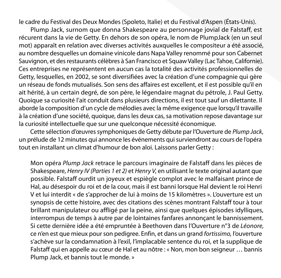le cadre du Festival des Deux Mondes (Spoleto, Italie) et du Festival d'Aspen (États-Unis).

Plump Jack, surnom que donna Shakespeare au personnage jovial de Falstaff, est récurent dans la vie de Getty. En dehors de son opéra, le nom de PlumpJack (en un seul mot) apparaît en relation avec diverses activités auxquelles le compositeur a été associé, au nombre desquelles un domaine vinicole dans Napa Valley renommé pour son Cabernet Sauvignon, et des restaurants célèbres à San Francisco et Squaw Valley (Lac Tahoe, Californie). Ces entreprises ne représentent en aucun cas la totalité des activités professionnelles de Getty, lesquelles, en 2002, se sont diversifiées avec la création d'une compagnie qui gère un réseau de fonds mutualisés. Son sens des affaires est excellent, et il est possible qu'il en ait hérité, à un certain degré, de son père, le légendaire magnat du pétrole, J. Paul Getty. Quoique sa curiosité l'ait conduit dans plusieurs directions, il est tout sauf un dilettante. Il aborde la composition d'un cycle de mélodies avec la même exigence que lorsqu'il travaille à la création d'une société, quoique, dans les deux cas, sa motivation repose davantage sur la curiosité intellectuelle que sur une quelconque nécessité économique.

Cette sélection d'œuvres symphoniques de Getty débute par l'Ouverture de *Plump Jack*, un prélude de 12 minutes qui annonce les événements qui surviendront au cours de l'opéra tout en installant un climat d'humour de bon aloi. Laissons parler Getty :

Mon opéra *Plump Jack* retrace le parcours imaginaire de Falstaff dans les pièces de Shakespeare, *Henry IV (Parties 1 et 2)* et *Henry V*, en utilisant le texte original autant que possible. Falstaff ourdit un joyeux et espiègle complot avec le malfaisant prince de Hal, au désespoir du roi et de la cour, mais il est banni lorsque Hal devient le roi Henri V et lui interdit « de s'approcher de lui à moins de 15 kilomètres ». L'ouverture est un synopsis de cette histoire, avec des citations des scènes montrant Falstaff tour à tour brillant manipulateur ou affligé par la peine, ainsi que quelques épisodes idylliques, interrompus de temps à autre par de lointaines fanfares annonçant le bannissement. Si cette dernière idée a été empruntée à Beethoven dans l'Ouverture n°3 de *Léonore,* ce n'en est que mieux pour son pedigree. Enfin, et dans un grand *fortissimo,* l'ouverture s'achève sur la condamnation à l'exil, l'implacable sentence du roi, et la supplique de Falstaff qui en appelle au cœur de Hal et au nôtre : « Non, mon bon seigneur … bannis Plump Jack, et bannis tout le monde. »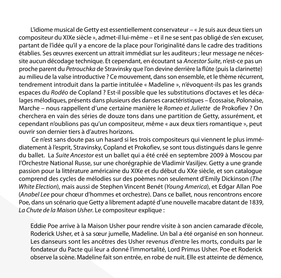L'idiome musical de Getty est essentiellement conservateur – « Je suis aux deux tiers un compositeur du XIXe siècle », admet-il lui-même – et il ne se sent pas obligé de s'en excuser, partant de l'idée qu'il y a encore de la place pour l'originalité dans le cadre des traditions établies. Ses œuvres exercent un attrait immédiat sur les auditeurs ; leur message ne nécessite aucun décodage technique. Et cependant, en écoutant sa *Ancestor Suite*, n'est-ce pas un proche parent du *Petrouchka* de Stravinsky que l'on devine derrière la flûte (puis la clarinette) au milieu de la valse introductive ? Ce mouvement, dans son ensemble, et le thème récurrent, tendrement introduit dans la partie intitulée « Madeline », n'évoquent-ils pas les grands espaces du *Rodéo* de Copland ? Est-il possible que les substitutions d'octaves et les décalages mélodiques, présents dans plusieurs des danses caractéristiques – Écossaise, Polonaise, Marche – nous rappellent d'une certaine manière le *Romeo et Juliette* de Prokofiev ? On cherchera en vain des séries de douze tons dans une partition de Getty, assurément, et cependant n'oublions pas qu'un compositeur, même « aux deux tiers romantique », peut ouvrir son dernier tiers à d'autres horizons.

 Ce n'est sans doute pas un hasard si les trois compositeurs qui viennent le plus immédiatement à l'esprit, Stravinsky, Copland et Prokofiev, se sont tous distingués dans le genre du ballet. La *Suite Ancestor* est un ballet qui a été créé en septembre 2009 à Moscou par l'Orchestre National Russe, sur une chorégraphie de Vladimir Vasiljev. Getty a une grande passion pour la littérature américaine du XIXe et du début du XXe siècle, et son catalogue comprend des cycles de mélodies sur des poèmes non seulement d'Emily Dickinson (*The White Election*), mais aussi de Stephen Vincent Benét (*Young America*), et Edgar Allan Poe (*Anabel Lee* pour chœur d'hommes et orchestre). Dans ce ballet, nous rencontrons encore Poe, dans un scénario que Getty a librement adapté d'une nouvelle macabre datant de 1839, *La Chute de la Maison Usher*. Le compositeur explique :

Eddie Poe arrive à la Maison Usher pour rendre visite à son ancien camarade d'école, Roderick Usher, et à sa sœur jumelle, Madeline. Un bal a été organisé en son honneur. Les danseurs sont les ancêtres des Usher revenus d'entre les morts, conduits par le fondateur du Pacte qui leur a donné l'immortalité, Lord Primus Usher. Poe et Roderick observe la scène. Madeline fait son entrée, en robe de nuit. Elle est atteinte de démence,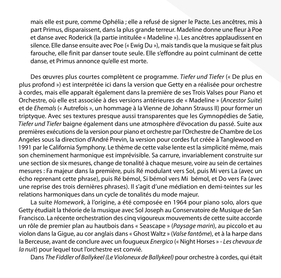mais elle est pure, comme Ophélia ; elle a refusé de signer le Pacte. Les ancêtres, mis à part Primus, disparaissent, dans la plus grande terreur. Madeline donne une fleur à Poe et danse avec Roderick (la partie intitulée « Madeline »). Les ancêtres applaudissent en silence. Elle danse ensuite avec Poe (« Ewig Du »), mais tandis que la musique se fait plus farouche, elle finit par danser toute seule. Elle s'effondre au point culminant de cette danse, et Primus annonce qu'elle est morte.

Des œuvres plus courtes complètent ce programme. *Tiefer und Tiefer* (« De plus en plus profond ») est interprétée ici dans la version que Getty en a réalisée pour orchestre à cordes, mais elle apparaît également dans la première de ses Trois Valses pour Piano et Orchestre, où elle est associée à des versions antérieures de « Madeline » (*Ancestor Suite*) et de *Ehemals* (« Autrefois », un hommage à la Vienne de Johann Strauss II) pour former un triptyque. Avec ses textures presque aussi transparentes que les Gymnopédies de Satie, *Tiefer und Tiefer* baigne également dans une atmosphère d'évocation du passé. Suite aux premières exécutions de la version pour piano et orchestre par l'Orchestre de Chambre de Los Angeles sous la direction d'André Previn, la version pour cordes fut créée à Tanglewood en 1991 par le California Symphony. Le thème de cette valse lente est la simplicité même, mais son cheminement harmonique est imprévisible. Sa carrure, invariablement construite sur une section de six mesures, change de tonalité à chaque mesure, voire au sein de certaines mesures : Fa majeur dans la première, puis Ré modulant vers Sol, puis Mi vers La (avec un écho reprenant cette phrase), puis Ré bémol, Si bémol vers Mi bémol, et Do vers Fa (avec une reprise des trois dernières phrases). Il s'agit d'une médiation en demi-teintes sur les relations harmoniques dans un cycle de tonalités du mode majeur.

La suite *Homework*, à l'origine, a été composée en 1964 pour piano solo, alors que Getty étudiait la théorie de la musique avec Sol Joseph au Conservatoire de Musique de San Francisco. La récente orchestration des cinq vigoureux mouvements de cette suite accorde un rôle de premier plan au hautbois dans « Seascape » (*Paysage marin*), au piccolo et au violon dans la Gigue, au cor anglais dans « Ghost Waltz » (*Valse fantôme*), et à la harpe dans la Berceuse, avant de conclure avec un fougueux *Energico* (« Night Horses » - *Les chevaux de la nuit*) pour lequel tout l'orchestre est convié.

Dans *The Fiddler of Ballykeel (Le Violoneux de Ballykeel)* pour orchestre à cordes, qui était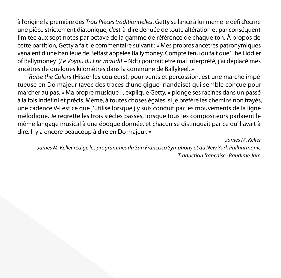à l'origine la première des *Trois Pièces traditionnelles*, Getty se lance à lui-même le défi d'écrire une pièce strictement diatonique, c'est-à-dire dénuée de toute altération et par conséquent limitée aux sept notes par octave de la gamme de référence de chaque ton. À propos de cette partition, Getty a fait le commentaire suivant : « Mes propres ancêtres patronymiques venaient d'une banlieue de Belfast appelée Ballymoney. Compte tenu du fait que 'The Fiddler of Ballymoney' (*Le Voyou du Fric maudit* – Ndt) pourrait être mal interprété, j'ai déplacé mes ancêtres de quelques kilomètres dans la commune de Ballykeel. »

*Raise the Colors* (Hisser les couleurs), pour vents et percussion, est une marche impétueuse en Do majeur (avec des traces d'une gigue irlandaise) qui semble conçue pour marcher au pas. « Ma propre musique », explique Getty, « plonge ses racines dans un passé à la fois indéfini et précis. Même, à toutes choses égales, si je préfère les chemins non frayés, une cadence V-I est ce que j'utilise lorsque j'y suis conduit par les mouvements de la ligne mélodique. Je regrette les trois siècles passés, lorsque tous les compositeurs parlaient le même langage musical à une époque donnée, et chacun se distinguait par ce qu'il avait à dire. Il y a encore beaucoup à dire en Do majeur. »

*James M. Keller*

*James M. Keller rédige les programmes du San Francisco Symphony et du New York Philharmonic. Traduction française : Baudime Jam*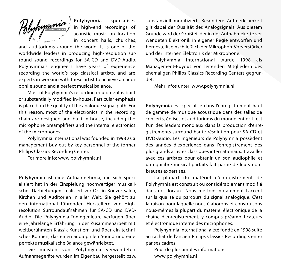**Polyhymnia** specialises in high-end recordings of Polyhymmia specialises in concert halls, churches,

and auditoriums around the world. It is one of the worldwide leaders in producing high-resolution surround sound recordings for SA-CD and DVD-Audio. Polyhymnia's engineers have years of experience recording the world's top classical artists, and are experts in working with these artist to achieve an audiophile sound and a perfect musical balance.

Most of Polyhymnia's recording equipment is built or substantially modified in-house. Particular emphasis is placed on the quality of the analogue signal path. For this reason, most of the electronics in the recording chain are designed and built in-house, including the microphone preamplifiers and the internal electronics of the microphones.

Polyhymnia International was founded in 1998 as a management buy-out by key personnel of the former Philips Classics Recording Center.

For more info: www.polyhymnia.nl

**Polyhymnia** ist eine Aufnahmefirma, die sich spezialisiert hat in der Einspielung hochwertiger musikalischer Darbietungen, realisiert vor Ort in Konzertsälen, Kirchen und Auditorien in aller Welt. Sie gehört zu den international führenden Herstellern von Highresolution Surroundaufnahmen für SA-CD und DVD-Audio. Die Polyhymnia-Toningenieure verfügen über eine jahrelange Erfahrung in der Zusammenarbeit mit weltberühmten Klassik-Künstlern und über ein technisches Können, das einen audiophilen Sound und eine perfekte musikalische Balance gewährleistet.

Die meisten von Polyhmynia verwendeten Aufnahmegeräte wurden im Eigenbau hergestellt bzw. substanziell modifiziert. Besondere Aufmerksamkeit gilt dabei der Qualität des Analogsignals. Aus diesem Grunde wird der Großteil der in der Aufnahmekette verwendeten Elektronik in eigener Regie entworfen und hergestellt, einschließlich der Mikrophon-Vorverstärker und der internen Elektronik der Mikrophone.

Polyhymnia International wurde 1998 als Management-Buyout von leitenden Mitgliedern des ehemaligen Philips Classics Recording Centers gegründet.

Mehr Infos unter: www.polyhymnia.nl

**Polyhymnia** est spécialisé dans l'enregistrement haut de gamme de musique acoustique dans des salles de concerts, églises et auditoriums du monde entier. Il est l'un des leaders mondiaux dans la production d'enregistrements surround haute résolution pour SA-CD et DVD-Audio. Les ingénieurs de Polyhymnia possèdent des années d'expérience dans l'enregistrement des plus grands artistes classiques internationaux. Travailler avec ces artistes pour obtenir un son audiophile et un équilibre musical parfaits fait partie de leurs nombreuses expertises.

La plupart du matériel d'enregistrement de Polyhymnia est construit ou considérablement modifié dans nos locaux. Nous mettons notamment l'accent sur la qualité du parcours du signal analogique. C'est la raison pour laquelle nous élaborons et construisons nous-mêmes la plupart du matériel électronique de la chaîne d'enregistrement, y compris préamplificateurs et électronique interne des microphones.

Polyhymnia International a été fondé en 1998 suite au rachat de l'ancien Philips Classics Recording Center par ses cadres.

Pour de plus amples informations : www.polyhymnia.nl